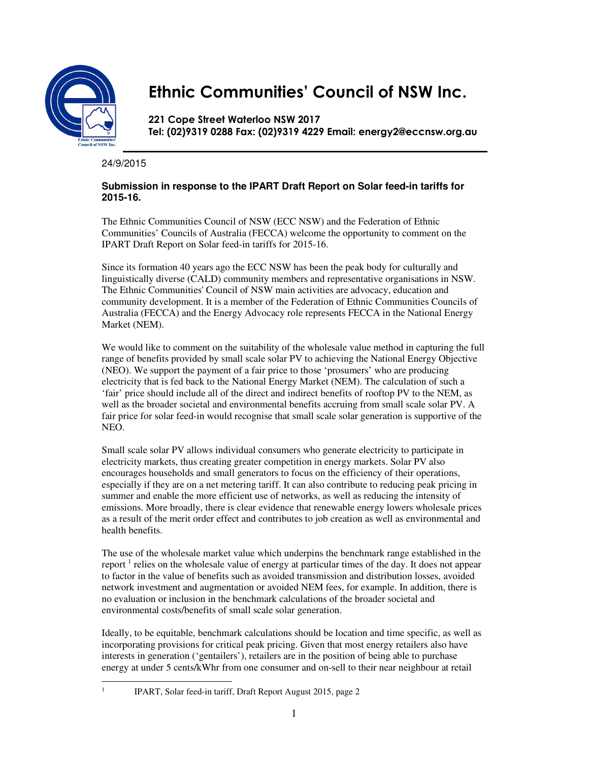

## **Ethnic Communities' Council of NSW Inc.**

**221 Cope Street Waterloo NSW 2017 Tel: (02)9319 0288 Fax: (02)9319 4229 Email: energy2@eccnsw.org.au** 

24/9/2015

## **Submission in response to the IPART Draft Report on Solar feed-in tariffs for 2015-16.**

The Ethnic Communities Council of NSW (ECC NSW) and the Federation of Ethnic Communities' Councils of Australia (FECCA) welcome the opportunity to comment on the IPART Draft Report on Solar feed-in tariffs for 2015-16.

Since its formation 40 years ago the ECC NSW has been the peak body for culturally and linguistically diverse (CALD) community members and representative organisations in NSW. The Ethnic Communities' Council of NSW main activities are advocacy, education and community development. It is a member of the Federation of Ethnic Communities Councils of Australia (FECCA) and the Energy Advocacy role represents FECCA in the National Energy Market (NEM).

We would like to comment on the suitability of the wholesale value method in capturing the full range of benefits provided by small scale solar PV to achieving the National Energy Objective (NEO). We support the payment of a fair price to those 'prosumers' who are producing electricity that is fed back to the National Energy Market (NEM). The calculation of such a 'fair' price should include all of the direct and indirect benefits of rooftop PV to the NEM, as well as the broader societal and environmental benefits accruing from small scale solar PV. A fair price for solar feed-in would recognise that small scale solar generation is supportive of the NEO.

Small scale solar PV allows individual consumers who generate electricity to participate in electricity markets, thus creating greater competition in energy markets. Solar PV also encourages households and small generators to focus on the efficiency of their operations, especially if they are on a net metering tariff. It can also contribute to reducing peak pricing in summer and enable the more efficient use of networks, as well as reducing the intensity of emissions. More broadly, there is clear evidence that renewable energy lowers wholesale prices as a result of the merit order effect and contributes to job creation as well as environmental and health benefits.

The use of the wholesale market value which underpins the benchmark range established in the report<sup>1</sup> relies on the wholesale value of energy at particular times of the day. It does not appear to factor in the value of benefits such as avoided transmission and distribution losses, avoided network investment and augmentation or avoided NEM fees, for example. In addition, there is no evaluation or inclusion in the benchmark calculations of the broader societal and environmental costs/benefits of small scale solar generation.

Ideally, to be equitable, benchmark calculations should be location and time specific, as well as incorporating provisions for critical peak pricing. Given that most energy retailers also have interests in generation ('gentailers'), retailers are in the position of being able to purchase energy at under 5 cents/kWhr from one consumer and on-sell to their near neighbour at retail

1

IPART, Solar feed-in tariff, Draft Report August 2015, page 2